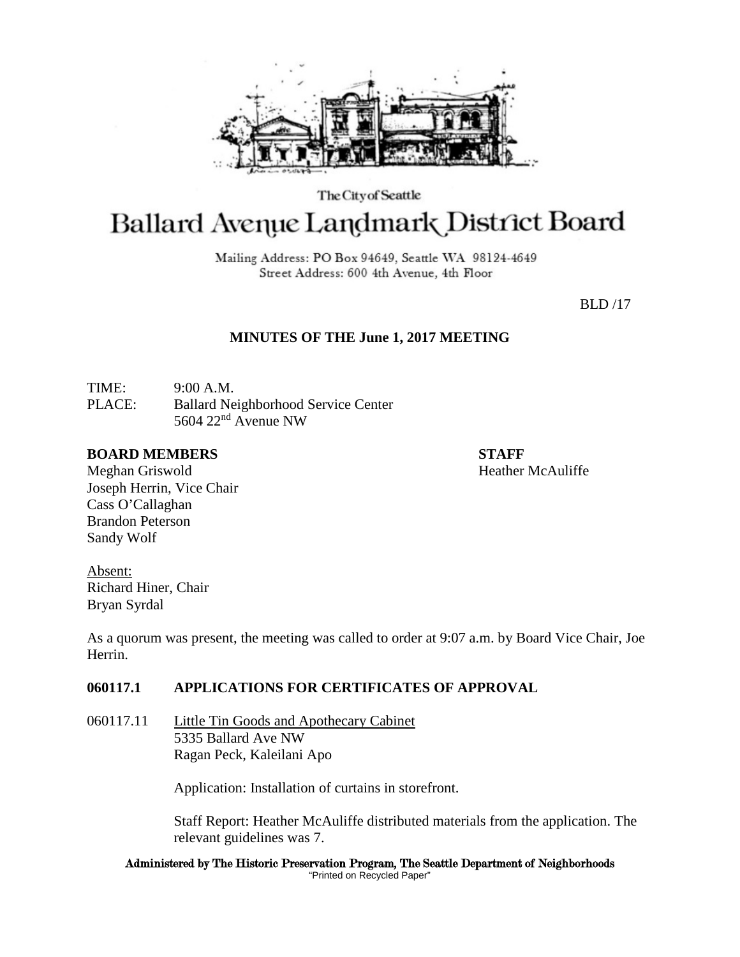

The City of Seattle

# **Ballard Avenue Landmark District Board**

Mailing Address: PO Box 94649, Seattle WA 98124-4649 Street Address: 600 4th Avenue, 4th Floor

BLD /17

# **MINUTES OF THE June 1, 2017 MEETING**

TIME: 9:00 A.M. PLACE: Ballard Neighborhood Service Center 5604 22nd Avenue NW

#### **BOARD MEMBERS STAFF**

Meghan Griswold **Heather McAuliffe** Joseph Herrin, Vice Chair Cass O'Callaghan Brandon Peterson Sandy Wolf

Absent: Richard Hiner, Chair Bryan Syrdal

As a quorum was present, the meeting was called to order at 9:07 a.m. by Board Vice Chair, Joe Herrin.

# **060117.1 APPLICATIONS FOR CERTIFICATES OF APPROVAL**

060117.11 Little Tin Goods and Apothecary Cabinet 5335 Ballard Ave NW Ragan Peck, Kaleilani Apo

Application: Installation of curtains in storefront.

Staff Report: Heather McAuliffe distributed materials from the application. The relevant guidelines was 7.

Administered by The Historic Preservation Program, The Seattle Department of Neighborhoods "Printed on Recycled Paper"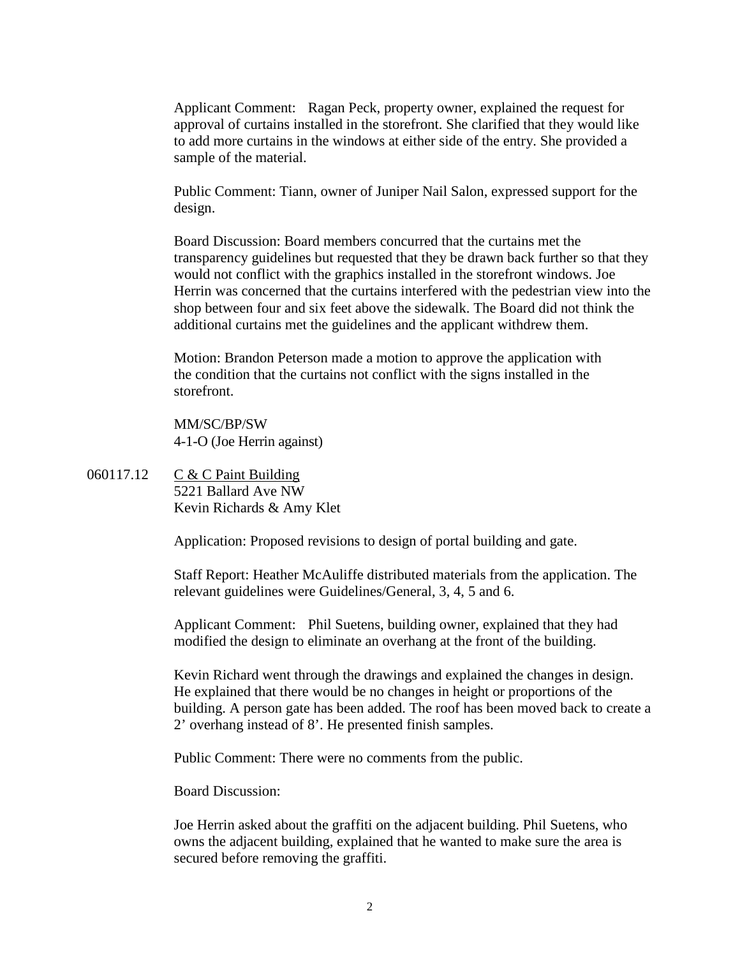Applicant Comment: Ragan Peck, property owner, explained the request for approval of curtains installed in the storefront. She clarified that they would like to add more curtains in the windows at either side of the entry. She provided a sample of the material.

Public Comment: Tiann, owner of Juniper Nail Salon, expressed support for the design.

Board Discussion: Board members concurred that the curtains met the transparency guidelines but requested that they be drawn back further so that they would not conflict with the graphics installed in the storefront windows. Joe Herrin was concerned that the curtains interfered with the pedestrian view into the shop between four and six feet above the sidewalk. The Board did not think the additional curtains met the guidelines and the applicant withdrew them.

Motion: Brandon Peterson made a motion to approve the application with the condition that the curtains not conflict with the signs installed in the storefront.

MM/SC/BP/SW 4-1-O (Joe Herrin against)

060117.12 C & C Paint Building 5221 Ballard Ave NW Kevin Richards & Amy Klet

Application: Proposed revisions to design of portal building and gate.

Staff Report: Heather McAuliffe distributed materials from the application. The relevant guidelines were Guidelines/General, 3, 4, 5 and 6.

Applicant Comment: Phil Suetens, building owner, explained that they had modified the design to eliminate an overhang at the front of the building.

Kevin Richard went through the drawings and explained the changes in design. He explained that there would be no changes in height or proportions of the building. A person gate has been added. The roof has been moved back to create a 2' overhang instead of 8'. He presented finish samples.

Public Comment: There were no comments from the public.

Board Discussion:

Joe Herrin asked about the graffiti on the adjacent building. Phil Suetens, who owns the adjacent building, explained that he wanted to make sure the area is secured before removing the graffiti.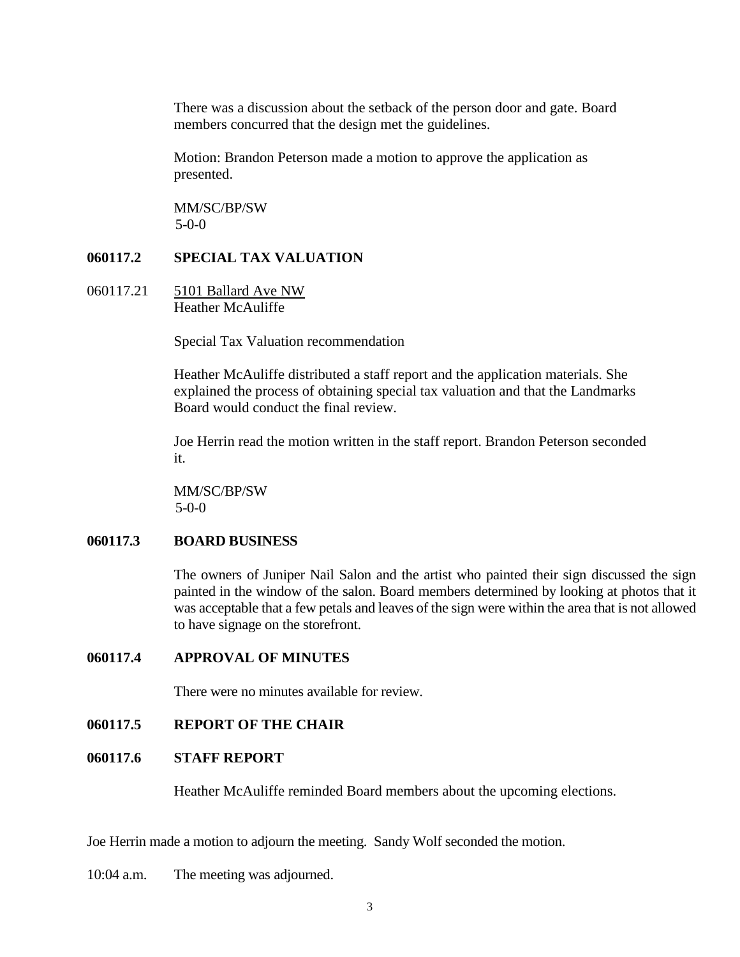There was a discussion about the setback of the person door and gate. Board members concurred that the design met the guidelines.

Motion: Brandon Peterson made a motion to approve the application as presented.

MM/SC/BP/SW 5-0-0

#### **060117.2 SPECIAL TAX VALUATION**

060117.21 5101 Ballard Ave NW Heather McAuliffe

Special Tax Valuation recommendation

Heather McAuliffe distributed a staff report and the application materials. She explained the process of obtaining special tax valuation and that the Landmarks Board would conduct the final review.

Joe Herrin read the motion written in the staff report. Brandon Peterson seconded it.

MM/SC/BP/SW 5-0-0

# **060117.3 BOARD BUSINESS**

The owners of Juniper Nail Salon and the artist who painted their sign discussed the sign painted in the window of the salon. Board members determined by looking at photos that it was acceptable that a few petals and leaves of the sign were within the area that is not allowed to have signage on the storefront.

**060117.4 APPROVAL OF MINUTES**

There were no minutes available for review.

## **060117.5 REPORT OF THE CHAIR**

## **060117.6 STAFF REPORT**

Heather McAuliffe reminded Board members about the upcoming elections.

Joe Herrin made a motion to adjourn the meeting. Sandy Wolf seconded the motion.

10:04 a.m. The meeting was adjourned.